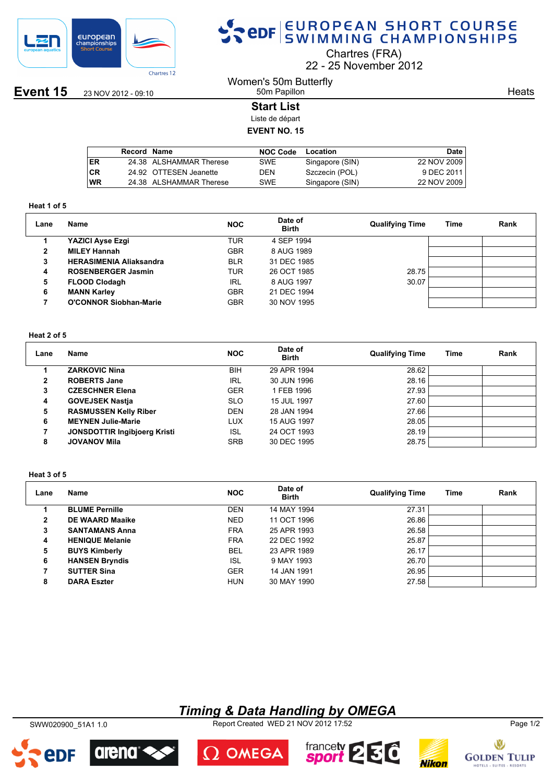

## SPOR EUROPEAN SHORT COURSE

Chartres (FRA)

22 25 November 2012

**Event 15** 23 NOV 2012 - 09:10

#### Women's 50m Butterfly 50m Papillon

**Heats** 

## **Start List**

Liste de départ

## **EVENT NO. 15**

|           | Record Name |                         | <b>NOC Code</b> | Location        | Date        |
|-----------|-------------|-------------------------|-----------------|-----------------|-------------|
| ER        |             | 24.38 ALSHAMMAR Therese | SWE             | Singapore (SIN) | 22 NOV 2009 |
| <b>CR</b> |             | 24.92 OTTESEN Jeanette  | DEN             | Szczecin (POL)  | 9 DEC 2011  |
| <b>WR</b> |             | 24.38 ALSHAMMAR Therese | SWE             | Singapore (SIN) | 22 NOV 2009 |
|           |             |                         |                 |                 |             |

#### **Heat 1 of 5**

| Lane | Name                           | <b>NOC</b> | Date of<br><b>Birth</b> | <b>Qualifying Time</b> | Time | Rank |
|------|--------------------------------|------------|-------------------------|------------------------|------|------|
|      | YAZICI Ayse Ezgi               | TUR        | 4 SEP 1994              |                        |      |      |
|      | <b>MILEY Hannah</b>            | <b>GBR</b> | 8 AUG 1989              |                        |      |      |
| 3    | <b>HERASIMENIA Aliaksandra</b> | <b>BLR</b> | 31 DEC 1985             |                        |      |      |
| 4    | <b>ROSENBERGER Jasmin</b>      | TUR        | 26 OCT 1985             | 28.75                  |      |      |
| 5    | <b>FLOOD Clodagh</b>           | <b>IRL</b> | 8 AUG 1997              | 30.07                  |      |      |
| 6    | <b>MANN Karley</b>             | <b>GBR</b> | 21 DEC 1994             |                        |      |      |
|      | <b>O'CONNOR Siobhan-Marie</b>  | <b>GBR</b> | 30 NOV 1995             |                        |      |      |
|      |                                |            |                         |                        |      |      |

## **Heat 2 of 5**

| Lane         | Name                                | <b>NOC</b> | Date of<br><b>Birth</b> | <b>Qualifying Time</b> | Time | Rank |
|--------------|-------------------------------------|------------|-------------------------|------------------------|------|------|
|              | <b>ZARKOVIC Nina</b>                | BIH        | 29 APR 1994             | 28.62                  |      |      |
| $\mathbf{2}$ | <b>ROBERTS Jane</b>                 | IRL        | 30 JUN 1996             | 28.16                  |      |      |
| 3            | <b>CZESCHNER Elena</b>              | <b>GER</b> | 1 FEB 1996              | 27.93                  |      |      |
| 4            | <b>GOVEJSEK Nastia</b>              | <b>SLO</b> | 15 JUL 1997             | 27.60                  |      |      |
| 5            | <b>RASMUSSEN Kelly Riber</b>        | <b>DEN</b> | 28 JAN 1994             | 27.66                  |      |      |
| 6            | <b>MEYNEN Julie-Marie</b>           | LUX        | 15 AUG 1997             | 28.05                  |      |      |
|              | <b>JONSDOTTIR Ingibjoerg Kristi</b> | <b>ISL</b> | 24 OCT 1993             | 28.19                  |      |      |
| 8            | <b>JOVANOV Mila</b>                 | <b>SRB</b> | 30 DEC 1995             | 28.75                  |      |      |

#### **Heat 3 of 5**

| Lane         | Name                   | <b>NOC</b> | Date of<br><b>Birth</b> | <b>Qualifying Time</b> | Time | Rank |
|--------------|------------------------|------------|-------------------------|------------------------|------|------|
|              | <b>BLUME Pernille</b>  | <b>DEN</b> | 14 MAY 1994             | 27.31                  |      |      |
| $\mathbf{2}$ | DE WAARD Maaike        | <b>NED</b> | 11 OCT 1996             | 26.86                  |      |      |
| 3            | <b>SANTAMANS Anna</b>  | <b>FRA</b> | 25 APR 1993             | 26.58                  |      |      |
| 4            | <b>HENIQUE Melanie</b> | <b>FRA</b> | 22 DEC 1992             | 25.87                  |      |      |
| 5            | <b>BUYS Kimberly</b>   | <b>BEL</b> | 23 APR 1989             | 26.17                  |      |      |
| 6            | <b>HANSEN Bryndis</b>  | <b>ISL</b> | 9 MAY 1993              | 26.70                  |      |      |
|              | <b>SUTTER Sina</b>     | <b>GER</b> | 14 JAN 1991             | 26.95                  |      |      |
| 8            | <b>DARA Eszter</b>     | <b>HUN</b> | 30 MAY 1990             | 27.58                  |      |      |

## *Timing & Data Handling by OMEGA*

SWW020900\_51A1 1.0 Report Created WED 21 NOV 2012 17:52 Page 1/2



arena

edf